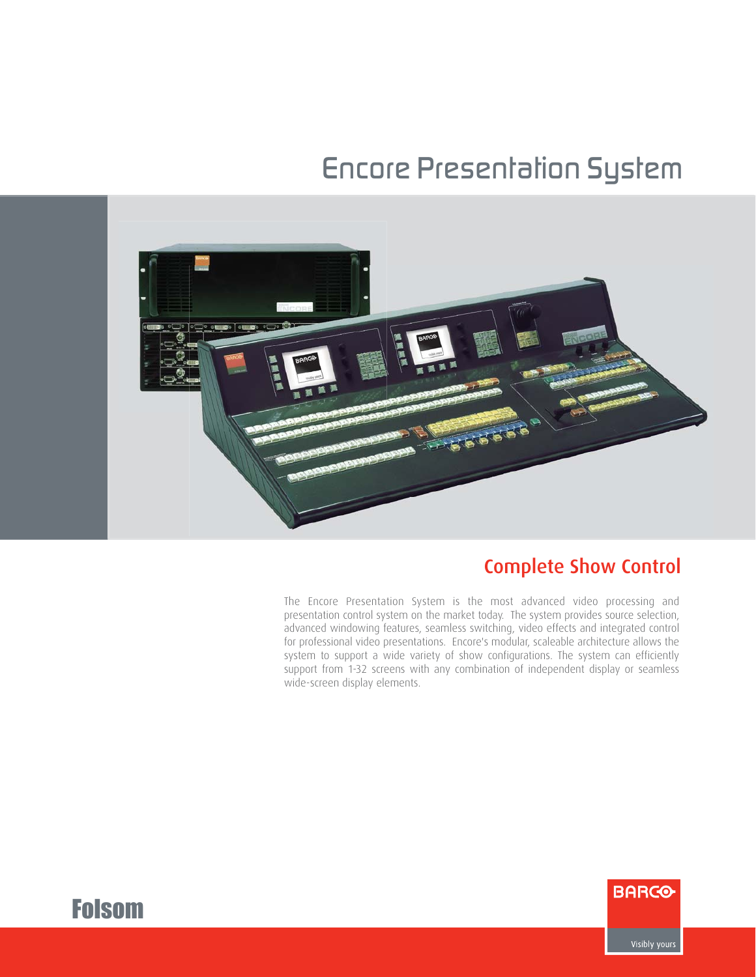# *Encore Presentation System*



# Complete Show Control

The Encore Presentation System is the most advanced video processing and presentation control system on the market today. The system provides source selection, advanced windowing features, seamless switching, video effects and integrated control for professional video presentations. Encore's modular, scaleable architecture allows the system to support a wide variety of show configurations. The system can efficiently support from 1-32 screens with any combination of independent display or seamless wide-screen display elements.





Visibly yours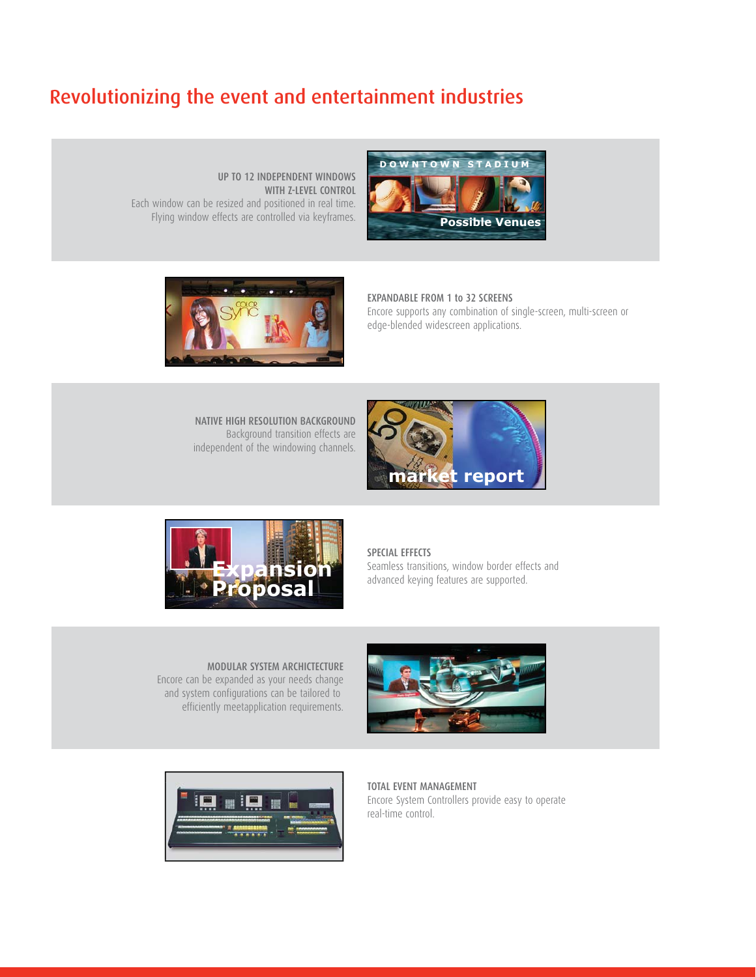## Revolutionizing the event and entertainment industries

UP TO 12 INDEPENDENT WINDOWS WITH Z-LEVEL CONTROL Each window can be resized and positioned in real time. Flying window effects are controlled via keyframes.





#### EXPANDABLE FROM 1 to 32 SCREENS

Encore supports any combination of single-screen, multi-screen or edge-blended widescreen applications.

NATIVE HIGH RESOLUTION BACKGROUND Background transition effects are independent of the windowing channels.





#### SPECIAL EFFECTS

Seamless transitions, window border effects and **EXPANSION** Seamless transitions, window border effectively advanced keying features are supported.

MODULAR SYSTEM ARCHICTECTURE Encore can be expanded as your needs change and system configurations can be tailored to efficiently meetapplication requirements.



TOTAL EVENT MANAGEMENT Encore System Controllers provide easy to operate real-time control.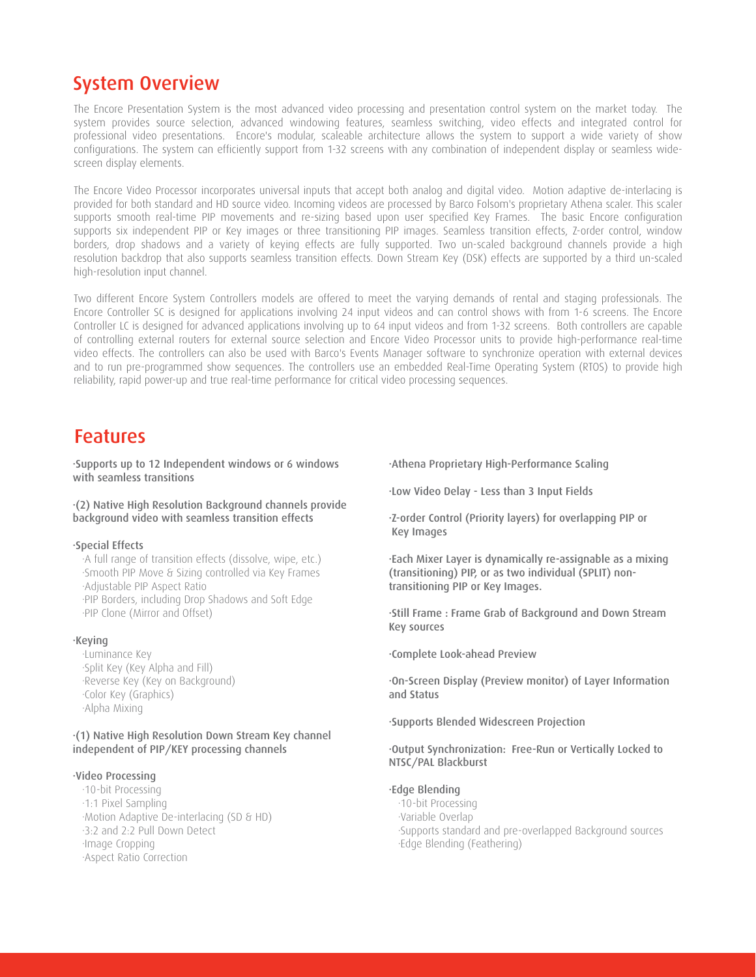### System Overview

The Encore Presentation System is the most advanced video processing and presentation control system on the market today. The system provides source selection, advanced windowing features, seamless switching, video effects and integrated control for professional video presentations. Encore's modular, scaleable architecture allows the system to support a wide variety of show configurations. The system can efficiently support from 1-32 screens with any combination of independent display or seamless widescreen display elements.

The Encore Video Processor incorporates universal inputs that accept both analog and digital video. Motion adaptive de-interlacing is provided for both standard and HD source video. Incoming videos are processed by Barco Folsom's proprietary Athena scaler. This scaler supports smooth real-time PIP movements and re-sizing based upon user specified Key Frames. The basic Encore configuration supports six independent PIP or Key images or three transitioning PIP images. Seamless transition effects, Z-order control, window borders, drop shadows and a variety of keying effects are fully supported. Two un-scaled background channels provide a high resolution backdrop that also supports seamless transition effects. Down Stream Key (DSK) effects are supported by a third un-scaled high-resolution input channel.

Two different Encore System Controllers models are offered to meet the varying demands of rental and staging professionals. The Encore Controller SC is designed for applications involving 24 input videos and can control shows with from 1-6 screens. The Encore Controller LC is designed for advanced applications involving up to 64 input videos and from 1-32 screens. Both controllers are capable of controlling external routers for external source selection and Encore Video Processor units to provide high-performance real-time video effects. The controllers can also be used with Barco's Events Manager software to synchronize operation with external devices and to run pre-programmed show sequences. The controllers use an embedded Real-Time Operating System (RTOS) to provide high reliability, rapid power-up and true real-time performance for critical video processing sequences.

### Features

·Supports up to 12 Independent windows or 6 windows with seamless transitions

#### ·(2) Native High Resolution Background channels provide background video with seamless transition effects

#### ·Special Effects

 ·A full range of transition effects (dissolve, wipe, etc.) ·Smooth PIP Move & Sizing controlled via Key Frames ·Adjustable PIP Aspect Ratio ·PIP Borders, including Drop Shadows and Soft Edge ·PIP Clone (Mirror and Offset)

#### ·Keying

 ·Luminance Key ·Split Key (Key Alpha and Fill) ·Reverse Key (Key on Background) ·Color Key (Graphics) ·Alpha Mixing

·(1) Native High Resolution Down Stream Key channel independent of PIP/KEY processing channels

### ·Video Processing

 ·10-bit Processing ·1:1 Pixel Sampling ·Motion Adaptive De-interlacing (SD & HD) ·3:2 and 2:2 Pull Down Detect ·Image Cropping ·Aspect Ratio Correction

·Athena Proprietary High-Performance Scaling

·Low Video Delay - Less than 3 Input Fields

·Z-order Control (Priority layers) for overlapping PIP or Key Images

·Each Mixer Layer is dynamically re-assignable as a mixing (transitioning) PIP, or as two individual (SPLIT) nontransitioning PIP or Key Images.

·Still Frame : Frame Grab of Background and Down Stream Key sources

·Complete Look-ahead Preview

·On-Screen Display (Preview monitor) of Layer Information and Status

·Supports Blended Widescreen Projection

#### ·Output Synchronization: Free-Run or Vertically Locked to NTSC/PAL Blackburst

#### ·Edge Blending

 ·10-bit Processing ·Variable Overlap ·Supports standard and pre-overlapped Background sources ·Edge Blending (Feathering)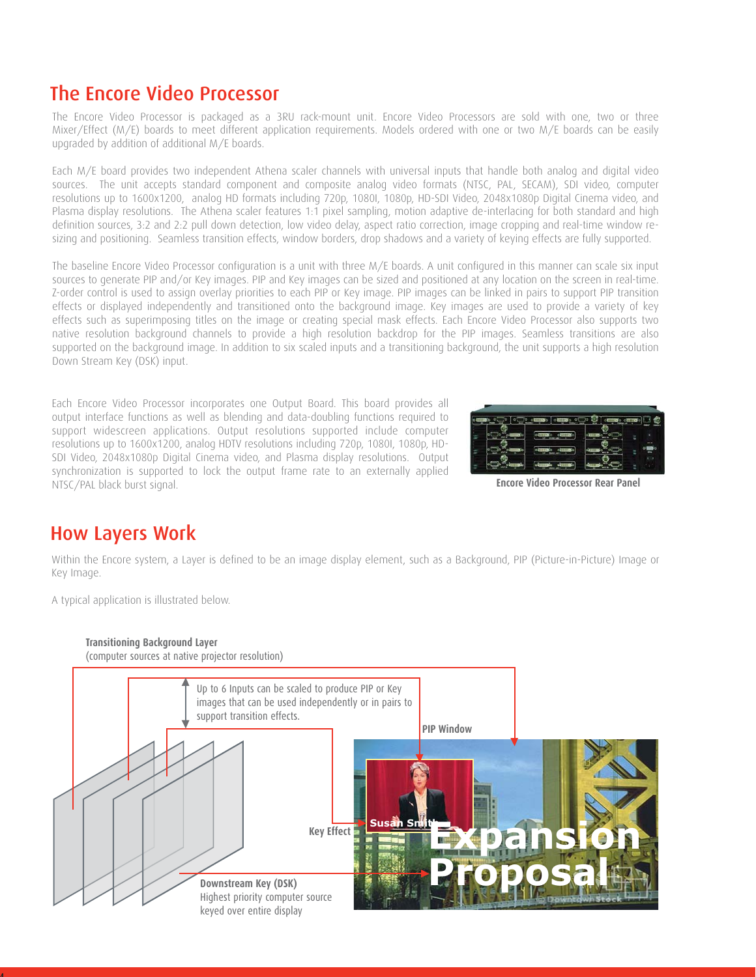### The Encore Video Processor

The Encore Video Processor is packaged as a 3RU rack-mount unit. Encore Video Processors are sold with one, two or three Mixer/Effect (M/E) boards to meet different application requirements. Models ordered with one or two M/E boards can be easily upgraded by addition of additional M/E boards.

Each M/E board provides two independent Athena scaler channels with universal inputs that handle both analog and digital video sources. The unit accepts standard component and composite analog video formats (NTSC, PAL, SECAM), SDI video, computer resolutions up to 1600x1200, analog HD formats including 720p, 1080I, 1080p, HD-SDI Video, 2048x1080p Digital Cinema video, and Plasma display resolutions. The Athena scaler features 1:1 pixel sampling, motion adaptive de-interlacing for both standard and high definition sources, 3:2 and 2:2 pull down detection, low video delay, aspect ratio correction, image cropping and real-time window resizing and positioning. Seamless transition effects, window borders, drop shadows and a variety of keying effects are fully supported.

The baseline Encore Video Processor configuration is a unit with three M/E boards. A unit configured in this manner can scale six input sources to generate PIP and/or Key images. PIP and Key images can be sized and positioned at any location on the screen in real-time. Z-order control is used to assign overlay priorities to each PIP or Key image. PIP images can be linked in pairs to support PIP transition effects or displayed independently and transitioned onto the background image. Key images are used to provide a variety of key effects such as superimposing titles on the image or creating special mask effects. Each Encore Video Processor also supports two native resolution background channels to provide a high resolution backdrop for the PIP images. Seamless transitions are also supported on the background image. In addition to six scaled inputs and a transitioning background, the unit supports a high resolution Down Stream Key (DSK) input.

Each Encore Video Processor incorporates one Output Board. This board provides all output interface functions as well as blending and data-doubling functions required to support widescreen applications. Output resolutions supported include computer resolutions up to 1600x1200, analog HDTV resolutions including 720p, 1080I, 1080p, HD-SDI Video, 2048x1080p Digital Cinema video, and Plasma display resolutions. Output synchronization is supported to lock the output frame rate to an externally applied NTSC/PAL black burst signal. **Encore Video Processor Rear Panel**



### How Layers Work

4

Within the Encore system, a Layer is defined to be an image display element, such as a Background, PIP (Picture-in-Picture) Image or Key Image.

A typical application is illustrated below.

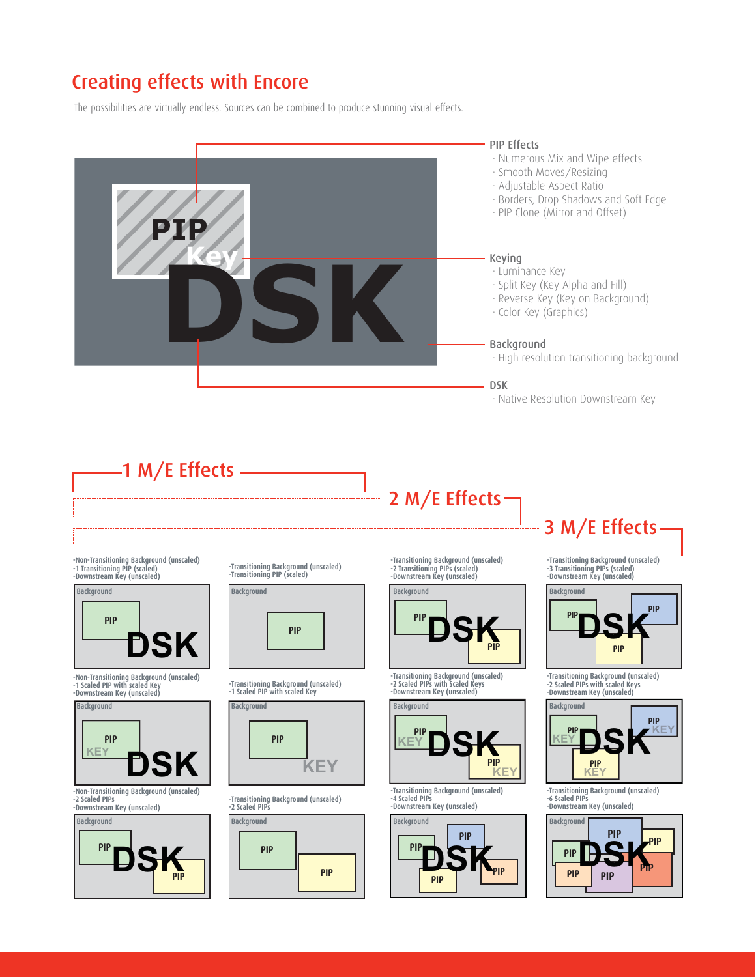# Creating effects with Encore

The possibilities are virtually endless. Sources can be combined to produce stunning visual effects.

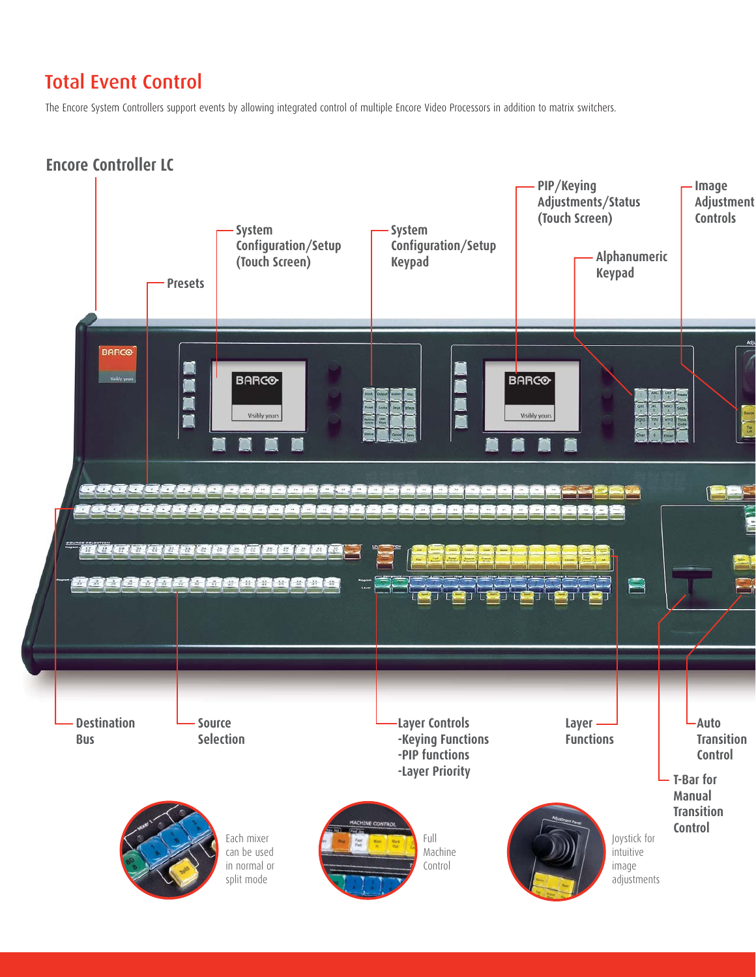# Total Event Control

The Encore System Controllers support events by allowing integrated control of multiple Encore Video Processors in addition to matrix switchers.

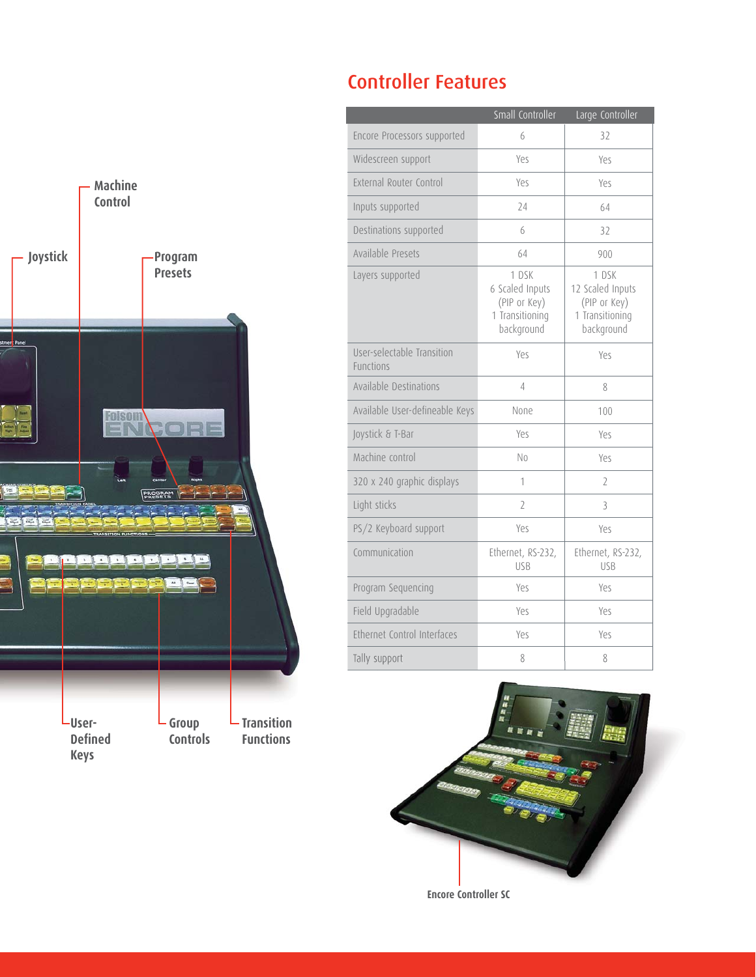# Controller Features



|                                                | Small Controller                                                          | Large Controller                                                           |
|------------------------------------------------|---------------------------------------------------------------------------|----------------------------------------------------------------------------|
| Encore Processors supported                    | 6                                                                         | 32                                                                         |
| Widescreen support                             | Yes                                                                       | Yes                                                                        |
| External Router Control                        | Yes                                                                       | Yes                                                                        |
| Inputs supported                               | 24                                                                        | 64                                                                         |
| Destinations supported                         | 6                                                                         | 32                                                                         |
| Available Presets                              | 64                                                                        | 900                                                                        |
| Layers supported                               | 1 DSK<br>6 Scaled Inputs<br>(PIP or Key)<br>1 Transitioning<br>background | 1 DSK<br>12 Scaled Inputs<br>(PIP or Key)<br>1 Transitioning<br>background |
| User-selectable Transition<br><b>Functions</b> | Yes                                                                       | Yes                                                                        |
| Available Destinations                         | 4                                                                         | 8                                                                          |
| Available User-defineable Keys                 | None                                                                      | 100                                                                        |
| Joystick & T-Bar                               | Yes                                                                       | Yes                                                                        |
| Machine control                                | N <sub>0</sub>                                                            | Yes                                                                        |
| 320 x 240 graphic displays                     | 1                                                                         | $\overline{2}$                                                             |
| Light sticks                                   | $\overline{2}$                                                            | 3                                                                          |
| PS/2 Keyboard support                          | Yes                                                                       | Yes                                                                        |
| Communication                                  | Ethernet, RS-232,<br><b>USB</b>                                           | Ethernet, RS-232,<br><b>USB</b>                                            |
| Program Sequencing                             | Yes                                                                       | Yes                                                                        |
| Field Upgradable                               | Yes                                                                       | Yes                                                                        |
| Ethernet Control Interfaces                    | Yes                                                                       | Yes                                                                        |
| Tally support                                  | 8                                                                         | 8                                                                          |



**Encore Controller SC**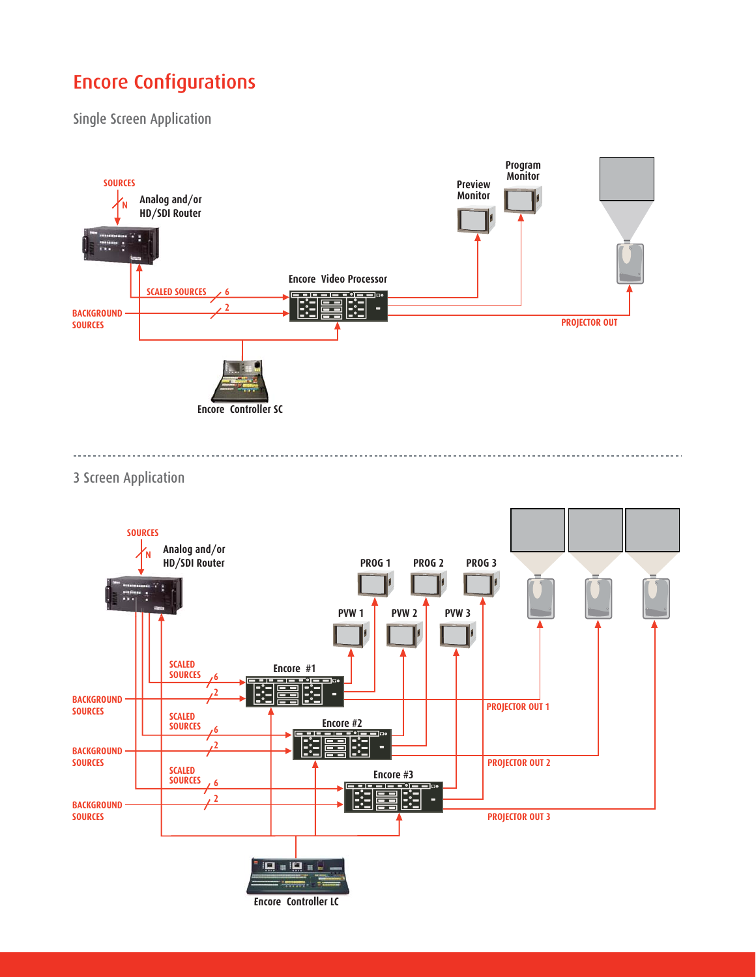# Encore Configurations

Single Screen Application



3 Screen Application

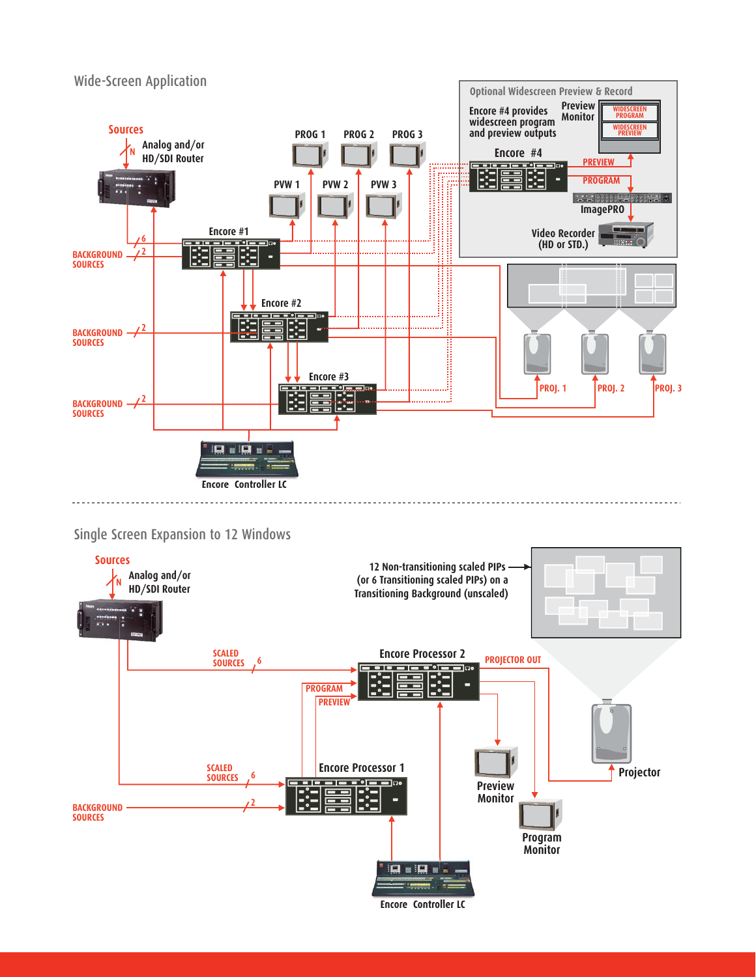

### Single Screen Expansion to 12 Windows



**Encore Controller LC**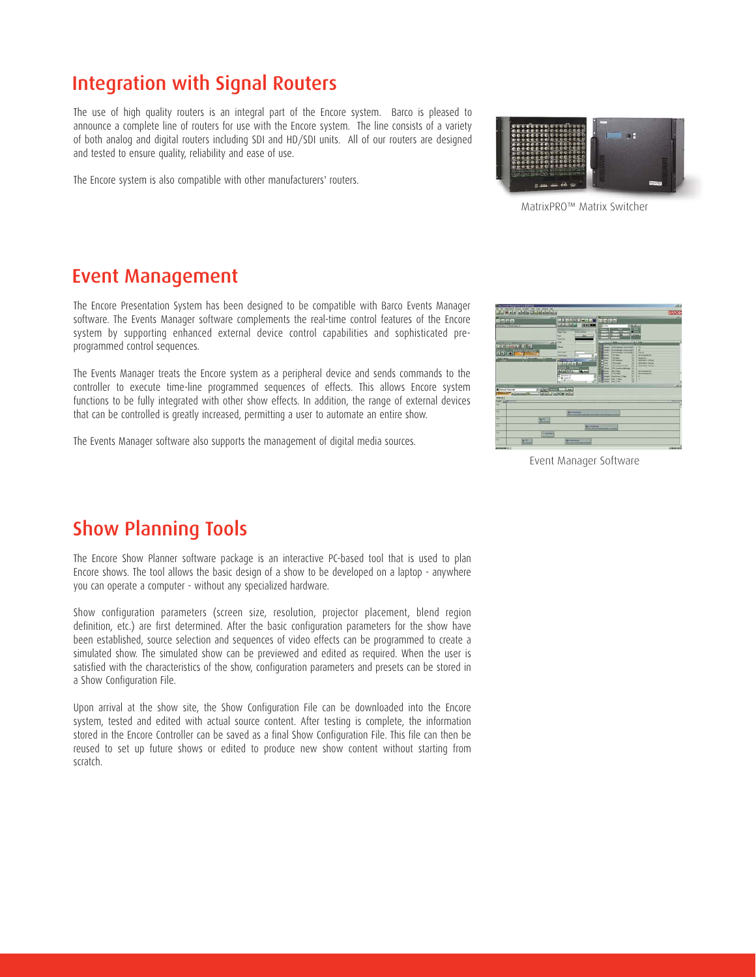### Integration with Signal Routers

The use of high quality routers is an integral part of the Encore system. Barco is pleased to announce a complete line of routers for use with the Encore system. The line consists of a variety of both analog and digital routers including SDI and HD/SDI units. All of our routers are designed and tested to ensure quality, reliability and ease of use.

The Encore system is also compatible with other manufacturers' routers.



MatrixPRO™ Matrix Switcher

### Event Management

The Encore Presentation System has been designed to be compatible with Barco Events Manager software. The Events Manager software complements the real-time control features of the Encore system by supporting enhanced external device control capabilities and sophisticated preprogrammed control sequences.

The Events Manager treats the Encore system as a peripheral device and sends commands to the controller to execute time-line programmed sequences of effects. This allows Encore system functions to be fully integrated with other show effects. In addition, the range of external devices that can be controlled is greatly increased, permitting a user to automate an entire show.

The Events Manager software also supports the management of digital media sources.



Event Manager Software

### Show Planning Tools

The Encore Show Planner software package is an interactive PC-based tool that is used to plan Encore shows. The tool allows the basic design of a show to be developed on a laptop - anywhere you can operate a computer - without any specialized hardware.

Show configuration parameters (screen size, resolution, projector placement, blend region definition, etc.) are first determined. After the basic configuration parameters for the show have been established, source selection and sequences of video effects can be programmed to create a simulated show. The simulated show can be previewed and edited as required. When the user is satisfied with the characteristics of the show, configuration parameters and presets can be stored in a Show Configuration File.

Upon arrival at the show site, the Show Configuration File can be downloaded into the Encore system, tested and edited with actual source content. After testing is complete, the information stored in the Encore Controller can be saved as a final Show Configuration File. This file can then be reused to set up future shows or edited to produce new show content without starting from scratch.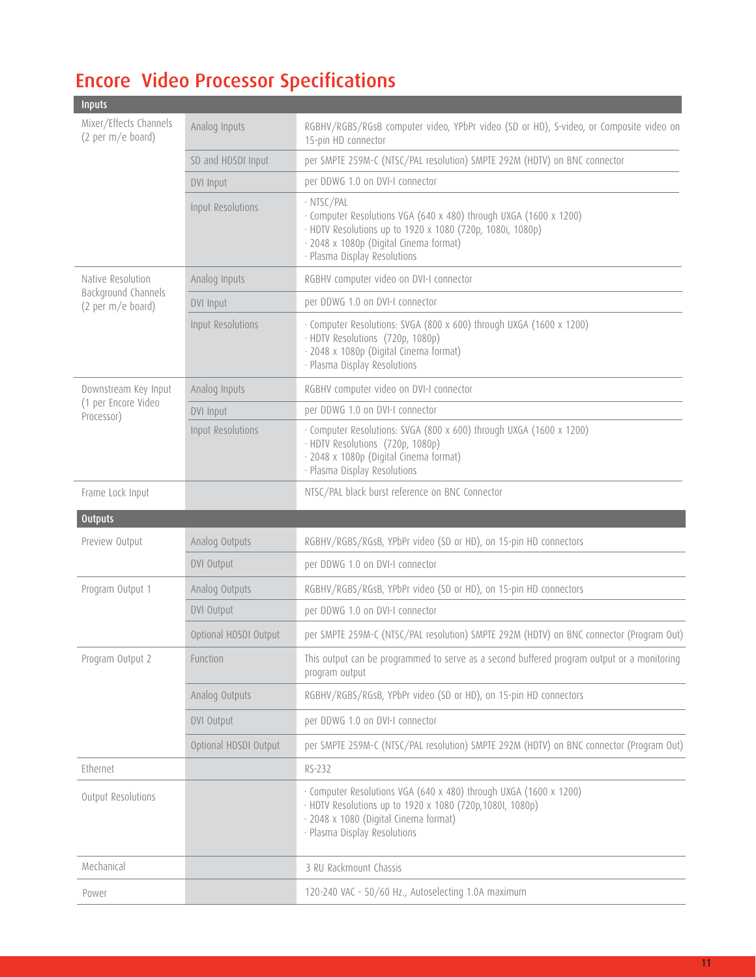# Encore Video Processor Specifications

| <b>Inputs</b>                                                 |                       |                                                                                                                                                                                                                        |  |
|---------------------------------------------------------------|-----------------------|------------------------------------------------------------------------------------------------------------------------------------------------------------------------------------------------------------------------|--|
| Mixer/Effects Channels<br>(2 per m/e board)                   | Analog Inputs         | RGBHV/RGBS/RGsB computer video, YPbPr video (SD or HD), S-video, or Composite video on<br>15-pin HD connector                                                                                                          |  |
|                                                               | SD and HDSDI Input    | per SMPTE 259M-C (NTSC/PAL resolution) SMPTE 292M (HDTV) on BNC connector                                                                                                                                              |  |
|                                                               | <b>DVI Input</b>      | per DDWG 1.0 on DVI-I connector                                                                                                                                                                                        |  |
|                                                               | Input Resolutions     | · NTSC/PAL<br>· Computer Resolutions VGA (640 x 480) through UXGA (1600 x 1200)<br>· HDTV Resolutions up to 1920 x 1080 (720p, 1080i, 1080p)<br>· 2048 x 1080p (Digital Cinema format)<br>· Plasma Display Resolutions |  |
| Native Resolution<br>Background Channels<br>(2 per m/e board) | Analog Inputs         | RGBHV computer video on DVI-I connector                                                                                                                                                                                |  |
|                                                               | DVI Input             | per DDWG 1.0 on DVI-I connector                                                                                                                                                                                        |  |
|                                                               | Input Resolutions     | · Computer Resolutions: SVGA (800 x 600) through UXGA (1600 x 1200)<br>· HDTV Resolutions (720p, 1080p)<br>· 2048 x 1080p (Digital Cinema format)<br>· Plasma Display Resolutions                                      |  |
| Downstream Key Input<br>(1 per Encore Video<br>Processor)     | Analog Inputs         | RGBHV computer video on DVI-I connector                                                                                                                                                                                |  |
|                                                               | <b>DVI Input</b>      | per DDWG 1.0 on DVI-I connector                                                                                                                                                                                        |  |
|                                                               | Input Resolutions     | · Computer Resolutions: SVGA (800 x 600) through UXGA (1600 x 1200)<br>· HDTV Resolutions (720p, 1080p)<br>· 2048 x 1080p (Digital Cinema format)<br>· Plasma Display Resolutions                                      |  |
| Frame Lock Input                                              |                       | NTSC/PAL black burst reference on BNC Connector                                                                                                                                                                        |  |
| <b>Outputs</b>                                                |                       |                                                                                                                                                                                                                        |  |
| Preview Output                                                | Analog Outputs        | RGBHV/RGBS/RGsB, YPbPr video (SD or HD), on 15-pin HD connectors                                                                                                                                                       |  |
|                                                               | <b>DVI Output</b>     | per DDWG 1.0 on DVI-I connector                                                                                                                                                                                        |  |
| Program Output 1                                              | Analog Outputs        | RGBHV/RGBS/RGsB, YPbPr video (SD or HD), on 15-pin HD connectors                                                                                                                                                       |  |
|                                                               | <b>DVI Output</b>     | per DDWG 1.0 on DVI-I connector                                                                                                                                                                                        |  |
|                                                               | Optional HDSDI Output | per SMPTE 259M-C (NTSC/PAL resolution) SMPTE 292M (HDTV) on BNC connector (Program Out)                                                                                                                                |  |
| Program Output 2                                              | Function              | This output can be programmed to serve as a second buffered program output or a monitoring<br>program output                                                                                                           |  |
|                                                               | Analog Outputs        | RGBHV/RGBS/RGsB, YPbPr video (SD or HD), on 15-pin HD connectors                                                                                                                                                       |  |
|                                                               | <b>DVI Output</b>     | per DDWG 1.0 on DVI-I connector                                                                                                                                                                                        |  |
|                                                               | Optional HDSDI Output | per SMPTE 259M-C (NTSC/PAL resolution) SMPTE 292M (HDTV) on BNC connector (Program Out)                                                                                                                                |  |
| Ethernet                                                      |                       | RS-232                                                                                                                                                                                                                 |  |
| Output Resolutions                                            |                       | · Computer Resolutions VGA (640 x 480) through UXGA (1600 x 1200)<br>· HDTV Resolutions up to 1920 x 1080 (720p,1080I, 1080p)<br>· 2048 x 1080 (Digital Cinema format)<br>· Plasma Display Resolutions                 |  |
| Mechanical                                                    |                       | 3 RU Rackmount Chassis                                                                                                                                                                                                 |  |
| Power                                                         |                       | 120-240 VAC - 50/60 Hz., Autoselecting 1.0A maximum                                                                                                                                                                    |  |